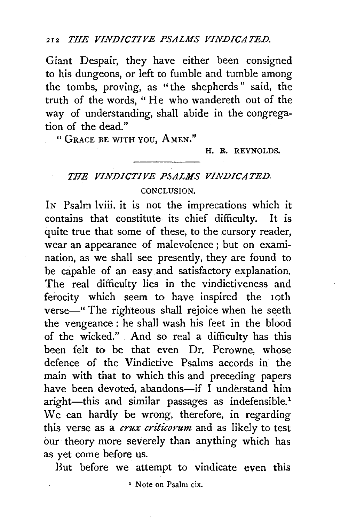Giant Despair, they have either been consigned to his dungeons, or left to fumble and tumble among the tombs, proving, as " the shepherds " said, the truth of the words, "He who wandereth out of the way of understanding, shall abide in the congregation of the dead."

" GRACE BE WITH YOU, AMEN."

H. R. REYNOLDS.

# *THE VINDICTIVE PSALMS VINDICATED.*  CONCLUSION.

IN Psalm lviii. it is not the imprecations which it contains that constitute its chief difficulty. It is quite true that some of these, to the cursory reader, wear an appearance of malevolence ; but on examination, as we shall see presently, they are found to be capable of an easy and satisfactory explanation. The real difficulty lies in the vindictiveness and ferocity which seem to have inspired the 10th verse-" The righteous shall rejoice when he seeth the vengeance : he shall wash his feet in the blood of the wicked." And so real a difficulty has this been felt to be that even Dr. Perowne, whose defence of the Vindictive Psalms accords in the main with that to which this and preceding papers have been devoted, abandons-if I understand him aright-this and similar passages as indefensible.<sup>1</sup> We can hardly be wrong, therefore, in regarding this verse as a *crux criticorum* and as likely to test our theory more severely than anything which has as yet come before us.

But before we attempt to vindicate even this

' Note on Psalm cix.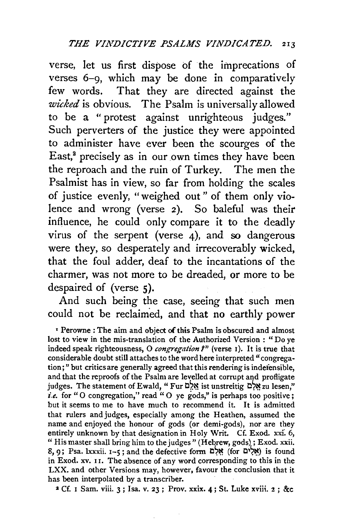verse, let us first dispose of the imprecations of verses 6-9, which may be done in comparatively few words. That they are directed against the *wicked* is obvious. The Psalm is universally allowed to be a "protest against unrighteous judges." Such perverters of the justice they were appointed to administer have ever been the scourges of the East,<sup>2</sup> precisely as in our own times they have been the reproach and the ruin of Turkey. The men the Psalmist has in view, so far from holding the scales of justice evenly, "weighed out" of them only violence and wrong (verse 2). So baleful was their influence, he could only compare it to the deadly virus of the serpent (verse 4), and so dangerous were they, so desperately and irrecoverably wicked, that the foul adder, deaf to the incantations of the charmer, was not more to be dreaded, or more to be despaired of (verse 5).

And such being the case, seeing that such men could not be reclaimed, and that no earthly power

' Perowne : The aim and object of this Psalm is obscured and almost lost to view in the mis-translation of the Authorized Version : "Do ye indeed speak righteousness, O *congregation* ?" (verse 1). It is true that considerable doubt still attaches to the word here interpreted" congrega· tion;" but critics are generally agreed that this rendering is indefensible, and that the reproofs of the Psalm are levelled at corrupt and profligate judges. The statement of Ewald, " Fur מַאֲלָם ist unstreitig מֵלְם zu lesen," *i.e.* for "O congregation," read "O ye gods," is perhaps too positive; but it seems to me to have much to recommend it. It is admitted that rulers and judges, especially among the Heathen, assumed the name and enjoyed the honour of gods (or demi-gods), nor are they entirely unknown by that designation in Holy Writ. Cf. Exod. xxi. 6, " His master shall bring him to the judges" (Hebrew, gods); Exod. xxii.  $8, 9$ ; Psa. lxxxii.  $1-5$ ; and the defective form  $\mathbb{R}^8$  (for  $\mathbb{R}^8$ ) is found in Exod. xv. II. The absence of any word corresponding to this in the LXX. and other Versions may, however, favour the conclusion that it has been interpolated by a transcriber.

 $2$  Cf. I Sam. viii. 3; Isa. v. 23; Prov. xxix. 4; St. Luke xviii. 2; &c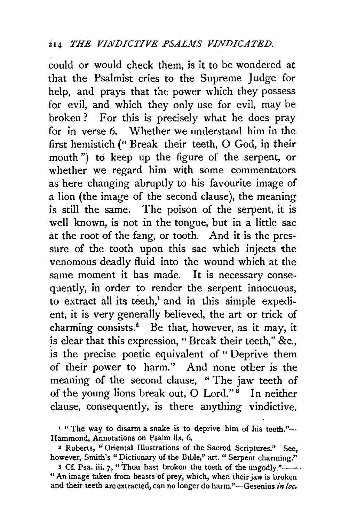could or would check them, is it to be wondered at that the Psalmist cries to the Supreme Judge for help, and prays that the power which they possess for evil, and which they only use for evil, may be broken? For this is precisely what he does pray for in verse 6. Whether we understand him in the first hemistich ("Break their teeth, 0 God, in their mouth ") to keep up the figure of the serpent, or whether we regard him with some commentators as here changing abruptly to his favourite image of a lion (the image of the second clause), the meaning is still the same. The poison of the serpent, it is well known, is not in the tongue, but in a little sac at the root of the fang, or tooth. And it is the pressure of the tooth upon this sac which injects the venomous deadly fluid into the wound which at the same moment it has made. It is necessary consequently, in order to render the serpent innocuous, to extract all its teeth,<sup>1</sup> and in this simple expedient, it is very generally believed, the art<sup>or</sup> or trick of charming consists. $^2$  Be that, however, as it may, it is clear that this expression," Break their teeth," &c., is the precise poetic equivalent of " Deprive them of their power to harm." And none other is the meaning of the second clause, " The jaw teeth of of the young lions break out, O Lord."<sup>8</sup> In neither clause, consequently, is there anything vindictive.

<sup>&</sup>lt;sup>*<sup>1</sup>*</sup> The way to disarm a snake is to deprive him of his teeth."-Hammond, Annotations on Psalm lix. 6.

<sup>2</sup> Roberts, "Oriental Illustrations of the Sacred Scriptures." See, however, Smith's "Dictionary of the Bible," art. " Serpent charming."

<sup>3</sup> Cf. Psa. iii. 7, "Thou hast broken the teeth of the ungodly." $\qquad$ . "An image taken from beasts of prey, which, when their jaw is broken and their teeth are extracted, can no longer do harm."-Gesenius *in loc.*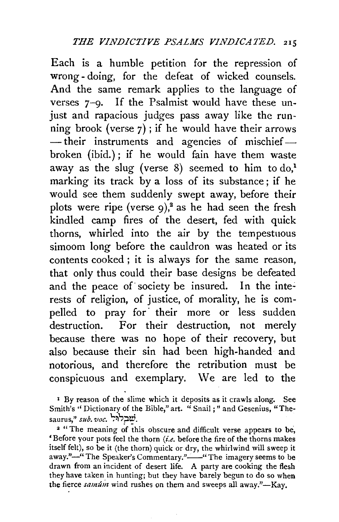Each is a humble petition for the repression of wrong- doing, for the defeat of wicked counsels. And the same remark applies to the language of verses 7-9. If the Psalmist would have these unjust and rapacious judges pass away like the running brook (verse  $7$ ); if he would have their arrows -their instruments and agencies of mischiefbroken (ibid.) ; if he would fain have them waste away as the slug (verse  $8$ ) seemed to him to do,<sup>1</sup> marking its track by a loss of its substance; if he would see them suddenly swept away, before their plots were ripe (verse  $9$ ),<sup>2</sup> as he had seen the fresh kindled camp fires of the desert, fed with quick thorns, whirled into the air by the tempestuous simoom long before the cauldron was heated or its contents cooked; it is always for the same reason, that only thus could their base designs be defeated and the peace of society be insured. In the interests of religion, of justice, of morality, he is compelled to pray for their more or less sudden destruction. For their destruction, not merely because there was no hope of their recovery, but also because their sin had been high-handed and notorious, and therefore the retribution must be conspicuous and exemplary. We are led to the

<sup>&</sup>lt;sup>1</sup> By reason of the slime which it deposits as it crawls along. See Smith's " Dictionary of the Bible," art. " Snail;" and Gesenius, "Thesaurus," *sub. voc.* ישבלול.

<sup>&</sup>lt;sup>2</sup> "The meaning of this obscure and difficult verse appears to be, 'Before your pots feel the thorn *(i.e.* before the fire of the thorns makes itself felt), so be it (the thorn) quick or dry, the whirlwind will sweep it away."-" The Speaker's Commentary."-" The imagery seems to be drawn from an incident of desert life. A party are cooking the flesh they have taken in hunting; but they have barely begun to do so when the fierce *samum* wind rushes on them and sweeps all away."-Kay.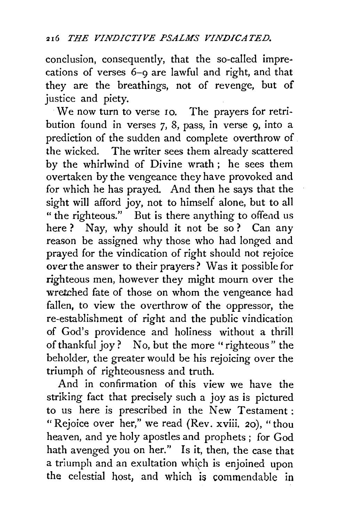conclusion, consequently, that the so-called imprecations of verses 6-9 are lawful and right, and that they are the breathings, not of revenge, but of justice and piety.

We now turn to verse 10. The prayers for retribution found in verses 7, 8, pass, in verse 9, into a prediction of the sudden and complete overthrow of the wicked. The writer sees them already scattered by the whirlwind of Divine wrath ; he sees them overtaken by the vengeance they have provoked and for which he has prayed. And then he says that the sight will afford joy, not to himself alone, but to all " the righteous." But is there anything to offend us here ? Nay, why should it not be so? Can any reason be assigned why those who had longed and prayed for the vindication of right should not rejoice *over* the answer to their prayers? Was it possible for righteous men, however they might mourn over the wretched fate of those on whom the vengeance had fallen, to view the overthrow of the oppressor, the re-establishment of right and the public vindication of God's providence and holiness without a thrill of thankful joy? No, but the more "righteous" the beholder, the greater would be his rejoicing over the triumph of righteousness and truth.

And in confirmation of this view we have the striking fact that precisely such a joy as is pictured to us here is prescribed in the New Testament : "Rejoice over her," we read  $(Rev. xviii, 20)$ , "thou heaven, and ye holy apostles and prophets ; for God hath avenged you on her." Is it, then, the case that a triumph and an exultation which is enjoined upon the celestial host, and which is commendable in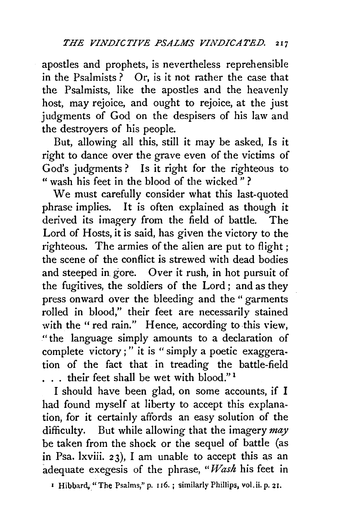apostles and prophets, is nevertheless reprehensible in the Psalmists ? Or, is it not rather the case that the Psalmists, like the apostles and the heavenly host, may rejoice, and ought to rejoice, at the just judgments of God on the despisers of his law and the destroyers of his people.

But, allowing all this, still it may be asked, Is it right to dance over the grave even of the victims of God's judgments? Is it right for the righteous to " wash his feet in the blood of the wicked" ?

We must carefully consider what this last-quoted phrase implies. It is often explained as though it derived its imagery from the field of battle. The Lord of Hosts, it is said, has given the victory to the righteous. The armies of the alien are put to flight ; the scene of the conflict is strewed with dead bodies and steeped in gore. Over it rush, in hot pursuit of the fugitives, the soldiers of the Lord ; and as they press onward over the bleeding and the " garments rolled in blood," their feet are necessarily stained with the " red rain." Hence, according to this view, "the language simply amounts to a declaration of complete victory ; " it is "simply a poetic exaggeration of the fact that in treading the battle-field ... their feet shall be wet with blood."<sup>1</sup>

I should have been glad, on some accounts, if I had found myself at liberty to accept this explanation, for it certainly affords an easy solution of the difficulty. But while allowing that the imagery *may*  be taken from the shock or the sequel of battle (as in Psa. lxviii. 23), I am unable to accept this as an adequate exegesis of the phrase, *"Wash* his feet in

• Hibbard.." The Psalms," p. u6. ; similarly Phillips, vol.ii. p. 21.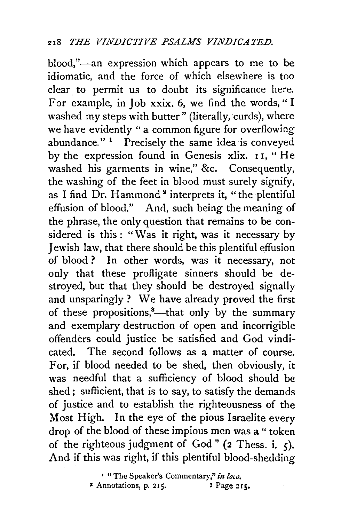blood,"-an expression which appears to me to be idiomatic, and the force of which elsewhere is too clear. to permit us to doubt its significance here. For example, in Job xxix. 6, we find the words," I washed my steps with butter" (literally, curds), where we have evidently " a common figure for overflowing abundance." 1 Precisely the same idea is conveyed by the expression found in Genesis xlix. I I, " He washed his garments in wine," &c. Consequently, the washing of the feet in blood must surely signify, as I find Dr. Hammond<sup>2</sup> interprets it, "the plentiful effusion of blood." And, such being the meaning of the phrase, the only question that remains to be considered is this : "Was it right, was it necessary by Jewish law, that there should be this plentiful effusion of blood? In other words, was it necessary, not only that these profligate sinners should be destroyed, but that they should be destroyed signally and unsparingly ? We have already proved the first of these propositions,<sup>8</sup>—that only by the summary and exemplary destruction of open and incorrigible offenders could justice be satisfied and God vindicated. The second follows as a matter of course. For, if blood needed to be shed, then obviously, it was needful that a sufficiency of blood should be shed ; sufficient, that is to say, to satisfy the demands of justice and to establish the righteousness of the Most High. In the eye of the pious Israelite every drop of the blood of these impious men was a " token of the righteous judgment of God" ( $2$  Thess. i.,  $\zeta$ ). And if this was right, if this plentiful blood-shedding

> <sup>*'</sup>* "The Speaker's Commentary," in loco.</sup>  $*$  Annotations, p. 215.  $*$  3 Page 215.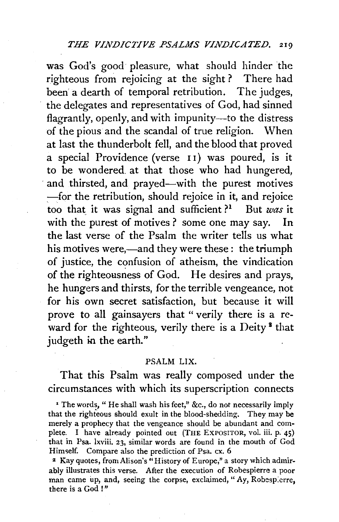was God's good pleasure, what should hinder the righteous from rejoicing at the sight ? There had been a dearth of temporal retribution. The judges, the delegates and representatives of God, had sinned flagrantly, openly, and with impunity—to the distress of the pious and the scandal of true religion. When at last the thunderbolt fell, and the blood that proved a special Providence (verse 1 1) was poured, is it to be wondered. at that those who had hungered, and thirsted, and prayed—with the purest motives -for the retribution, should rejoice in it, and rejoice too that it was signal and sufficient?<sup>1</sup> But *was* it with the purest of motives? some one may say. In the last verse of the Psalm the writer tells us what his motives were,—and they were these: the triumph of justice, the confusion of atheism, the vindication of the righteousness of God. He desires and prays, he hungers and thirsts, for the terrible vengeance, not for his own secret satisfaction, but because it will prove to all gainsayers that "verily there is a reward for the righteous, verily there is a Deity<sup> $\frac{1}{2}$ </sup> that judgeth in the earth."

#### PSALM LIX.

That this Psalm was really composed under the circumstances with which its superscription connects

• The words, " He shall wash his feet," &c., do not necessarily imply that the righteous should exult in the blood-shedding. They may be merely a prophecy that the vengeance should be abundant and complete. I have already pointed out (THE EXPOSITOR, vol. iii. p. 45) that in Psa. lxviii. 23, similar words are found in the mouth of God Himself. Compare also the prediction of Psa. cx. 6

z Kay quotes, fromAlison's "History of Europe," a story which admirably illustrates this verse. After the execution of Robespierre a poor man came up, and, seeing the corpse, exclaimed, "Ay, Robespierre, there is a God!"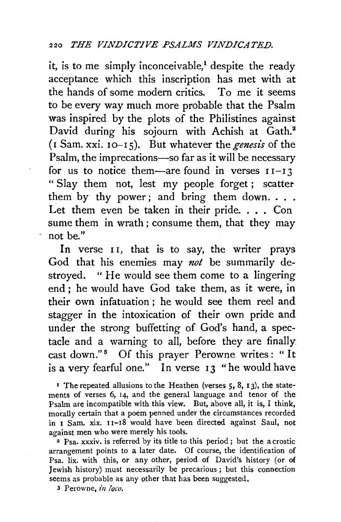it, is to me simply inconceivable,<sup>1</sup> despite the ready acceptance which this inscription has met with at the hands of some modern critics. To me it seems to be every way much more probable that the Psalm was inspired by the plots of the Philistines against David during his sojourn with Achish at Gath.<sup>2</sup>  $(I Sum, xxi. 10-15)$ . But whatever the *genesis* of the Psalm, the imprecations-so far as it will be necessary for us to notice them—are found in verses  $11-13$ " Slay them not, lest my people forget ; scatter them by thy power ; and bring them down. . . . Let them even be taken in their pride. . . . Con sume them in wrath ; consume them, that they may not be."

In verse II, that is to say, the writer prays God that his enemies may *not* be summarily destroyed. "He would see them come to a lingering end ; he would have God take them, as it were, in their own infatuation ; he would see them reel and stagger in the intoxication of their own pride and under the strong buffetting of God's hand, a spectacle and a warning to all, before they are finally cast down."<sup>3</sup> Of this prayer Perowne writes: "It is a very fearful one." In verse 13 "he would have

 $\overline{P}$  The repeated allusions to the Heathen (verses 5, 8, 13), the statements of verses 6, 14, and the general language and tenor of the Psalm are incompatible with this view. But, above all, it is, I think, morally certain that a poem penned under the circumstances recorded in I Sam. xix. I 1-18 would have been directed against Saul, not against men who were merely his tools.

2 Psa. xxxiv. is referred by its title to this period ; but the acrostic arrangement points to a later date. Of course, the identification of Psa. lix. with this, or any other, period of David's history (or of Jewish history) must necessarily be precarious; but this connection seems as probable as any other that has been suggested.

3 Perowne, *in loco.*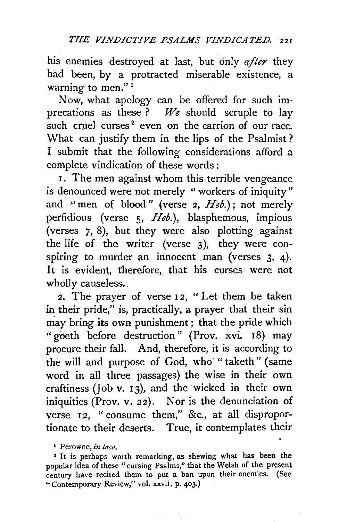his enemies destroyed at last, but only *after* they had been, by a protracted miserable existence, a warning to men."<sup>1</sup>

. Now, what apology can be offered for such imprecations as these ? *We* should scruple to lay such cruel curses<sup> $2$ </sup> even on the carrion of our race. What can justify them in the lips of the Psalmist ? I submit that the following considerations afford a complete vindication of these words :

I. The men against whom this terrible vengeance is denounced were not merely "workers of iniquity" and "men of blood" (verse 2, *Heb.);* not merely perfidious (verse 5, *Heb.),* blasphemous, impious (verses 7, 8), but they were also plotting against the life of the writer (verse 3), they were conspiring to murder an innocent man (verses 3, 4). It is evident, therefore, that his curses were not wholly causeless.

2. The prayer of verse 12, "Let them be taken in their pride," is, practically, a prayer that their sin may bring its own punishment ; that the pride which " goeth before destruction" (Prov. xvi. 18) may procure their faH. And, therefore, it is according to the will and purpose of God, who "taketh" (same word in all three passages) the wise in their own craftiness (Job v. 13), and the wicked in their own iniquities (Prov. v. 22). Nor is the denunciation of verse 12, "consume them," &c., at all disproportionate to their deserts. True, it contemplates their

<sup>&</sup>lt;sup>1</sup> Perowne, *in loco*.

<sup>&#</sup>x27; It is perhaps worth remarking, as shewing what has been the popular idea of these "cursing Psalms," that the Welsh of the present century have recited them to put a ban upon their enemies. (See "Contemporary Review," vol. xxvii. p. 403.)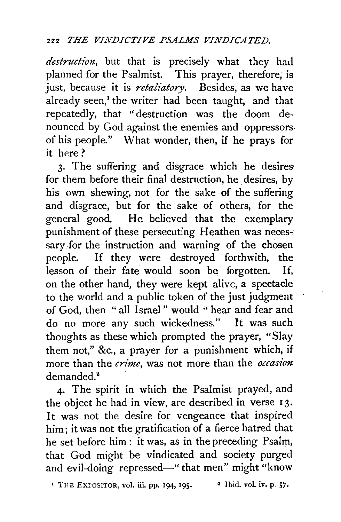*destruction,* but that is precisely what they had planned for the Psalmist. This prayer, therefore, is just, because it is *retaliatory.* Besides, as we have already seen,<sup>1</sup> the writer had been taught, and that repeatedly, that "destruction was the doom denounced by God against the enemies and oppressors. of his people." What wonder, then, if he prays for it here  $?$ 

3· The suffering and disgrace which he desires for them before their final destruction, he desires, by his own shewing, not for the sake of the suffering and disgrace, but for the sake of others, for the general good. He believed that the exemplary punishment of these persecuting Heathen was necessary for the instruction and warning of the chosen people. If they were destroyed forthwith, the lesson of their fate would soon be forgotten. If, on the other hand, they were kept alive, a spectacle to the world and a public token of the just judgment of God, then "all Israel " would " hear and fear and do no more any such wickedness." lt was such thoughts as these which prompted the prayer, "Slay them not," &c., a prayer for a punishment which, if more than the *crime,* was not more than the *occasion*  demanded.<sup>2</sup>

4· The spirit in which the Psalmist prayed, and the object he had in view, are described in verse 13. It was not the desire for vengeance that inspired him; it was not the gratification of a fierce hatred that he set before him : it was, as in the preceding Psalm, that God might be vindicated and society purged and evil-doing repressed-" that men" might "know

<sup>1</sup> THE EXPOSITOR, vol. iii. pp. 194, 195. <sup>2</sup> Ibid. vol. iv. p. 57.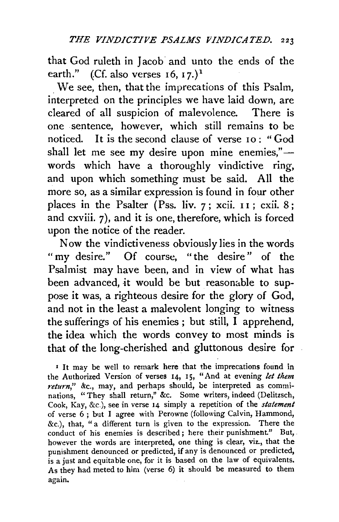that God ruleth in Jacob and unto the ends of the earth." (Cf. also verses  $16$ ,  $17$ .)<sup>1</sup>

. We see, then, that the imprecations of this Psalm, interpreted on the principles we have laid down, are cleared of all suspicion of malevolence. There is one sentence, however, which still remains to be noticed. It is the second clause of verse  $I_0$ : "God shall let me see my desire upon mine enemies," $$ words which have a thoroughly vindictive ring, and upon which something must be said. All the more so, as a similar expression is found in four other places in the Psalter (Pss. liv.  $7$ ; xcii.  $11$ ; cxii.  $8$ ; and cxviii. 7), and it is one, therefore, which is forced upon the notice of the reader.

Now the vindictiveness obviously lies in the words "my desire." Of course, "the desire" of the Psalmist may have been, and in view of what has been advanced, it would be but reasonable to suppose it was, a righteous desire for the glory of God, and not in the least a malevolent longing to witness the sufferings of his enemies ; but still, I apprehend, the idea which the words convey to most minds is that of the long-cherished and gluttonous desire for

<sup>1</sup> It may be well to remark here that the imprecations found in the Authorized Version of verses 14, 15, "And at evening *let them*  return," &c., may, and perhaps should, be interpreted as comminations, " They shall return," &c. Some writers, indeed (Delitzsch, Cook, Kay, &c.), see in verse 14 simply a repetition of the *statement*  of verse 6 ; but I agree with Perowne (following Calvin, Hammond, &c.), that, "a different turn is given to the expression. There the conduct of his enemies is described; here their punishment." But, however the words are interpreted, one thing is clear, viz., that the punishment denounced or predicted, if any is denounced or predicted, is a just and equitable one, for it is based on the law of equivalents. As they had meted to him (verse 6) it should be measured to them again.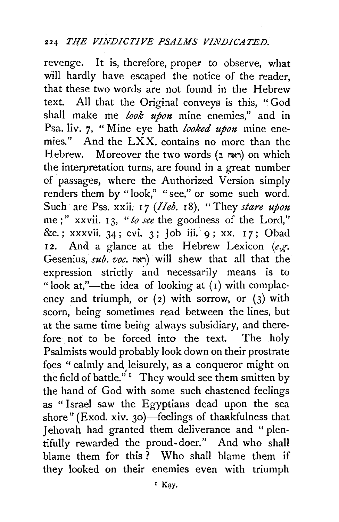revenge. It is, therefore, proper to observe, what will hardly have escaped the notice of the reader, that these two words are not found in the Hebrew text. All that the Original conveys is this, " God shall make me *look upon* mine enemies," and in Psa. liv. 7, "Mine eye hath *looked upon* mine enemies." And the LXX. contains no more than the Hebrew. Moreover the two words (ראה ב) on which the interpretation turns, are found in a great number of passages, where the Authorized Version simply renders them by "look," "see," or some such word. Such are Pss. xxii. 17 (*Heb.* 18), "They *stare upon* me ; " xxvii. I 3, *"to see* the goodness of the Lord," &c.; xxxvii. 34; cvi. 3; Job iii. 9; xx. 17; Obad 12. And a glance at the Hebrew Lexicon (e.g. Gesenius,  $sub. voc.$   $\rightarrow$  will shew that all that the expression strictly and necessarily means is to "look at,"—the idea of looking at  $(i)$  with complacency and triumph, or  $(2)$  with sorrow, or  $(3)$  with scorn, being sometimes read between the lines, but at the same time being always subsidiary, and therefore not to be forced into the text. The holy Psalmists would probably look down on their prostrate foes "calmly and leisurely, as a conqueror might on the field of battle."<sup>1</sup> They would see them smitten by the hand of God with some such chastened feelings as "Israel saw the Egyptians dead upon the sea shore" (Exod. xiv. 30)—feelings of thankfulness that Jehovah had granted them deliverance and "plentifully rewarded the proud-doer." And who shall blame them for this ? Who shall blame them if they looked on their enemies even with triumph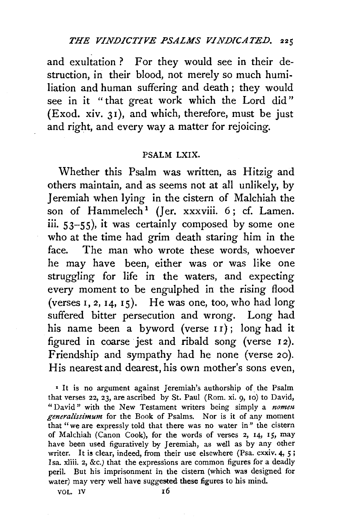and exultation? For they would see in their destruction, in their blood, not merely so much humiliation and human suffering and death ; they would see in it "that great work which the Lord did" (Exod. xiv. 31), and which, therefore, must be just and right, and every way a matter for rejoicing.

### PSALM LXIX.

Whether this Psalm was written, as Hitzig and others maintain, and as seems not at all unlikely, by Jeremiah when lying in the cistern of Malchiah the son of Hammelech<sup>1</sup> (Jer. xxxviii.  $6$ ; cf. Lamen. iii. 53-55), it was certainly composed by some one who at the time had grim death staring him in the face. The man who wrote these words, whoever he may have been, either was or was like one struggling for life in the waters, and expecting every moment to be engulphed in the rising flood (verses  $I$ ,  $2$ ,  $I$  $4$ ,  $I$  $5$ ). He was one, too, who had long suffered bitter persecution and wrong. Long had his name been a byword (verse 11); long had it figured in coarse jest and ribald song (verse 12). Friendship and sympathy had he none (verse 20). His nearest and dearest, his own mother's sons even,

• It is no argument against Jeremiah's authorship of the Psalm that verses 22, 23, are ascribed by St. Paul (Rom. xi. 9, 10) to David, "David" with the New Testament writers being simply a *nomen generalissimum* for the Book of Psalms. Nor is it of any moment that "we are expressly told that there was no water in" the cistern of Malchiah (Canon Cook), for the words of verses 2, 14, 15, may have been used figuratively by Jeremiah, as well as by any other writer. It is clear, indeed, from their use elsewhere (Psa. cxxiv. 4, 5; Isa. xliii. 2, &c.) that the expressions are common figures for a deadly peril. But his imprisonment in the cistern (which was designed for water) may very well have suggested these figures to his mind.

 $\overline{V}$   $\overline{V}$  10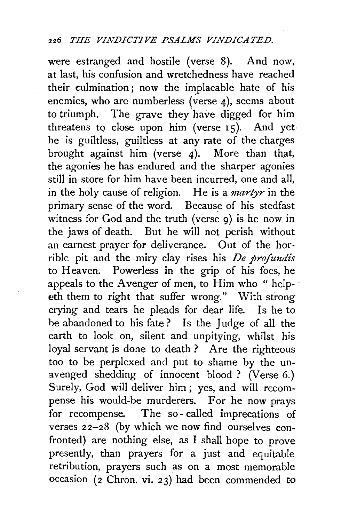were estranged and hostile (verse 8). And now, at last, his confusion and wretchedness have reached their culmination ; now the implacable hate of his enemies, who are numberless (verse 4), seems about to triumph. The grave they have digged for him threatens to close upon him (verse  $15$ ). And yethe is guiltless, guiltless at any rate of the charges brought against him (verse 4). More than that, the agonies he has endured and the sharper agonies still in store for him have been incurred, one and all, in the holy cause of religion. He is a *martyr* in the primary sense of the word. Because of his stedfast witness for God and the truth (verse 9) is he now in the jaws of death. But he will not perish without an earnest prayer for deliverance. Out of the horrible pit and the miry clay rises his *De profundis* to Heaven. Powerless in the grip of his foes, he appeals to the Avenger of men, to Him who "helpeth them to right that suffer wrong." With strong crying and tears he pleads for dear life. Is he to be abandoned to his fate ? Is the Judge of all the earth to look on, silent and unpitying, whilst his loyal servant is done to death ? Are the righteous too to be perplexed and put to shame by the unavenged shedding of innocent blood ? (Verse 6.) Surely, God will deliver him ; yes, and will recompense his would-be murderers. For he now prays for recompense. The so- called imprecations of verses 22-28 (by which we now find ourselves confronted) are nothing else, as I shall hope to prove presently, than prayers for a just and equitable retribution, prayers such as on a most memorable occasion ( $2$  Chron. vi.  $23$ ) had been commended to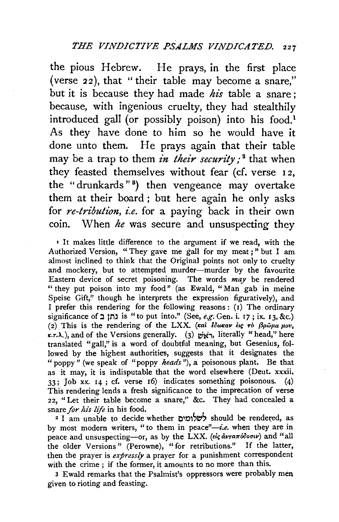the pious Hebrew. He prays, in the first place (verse 22), that "their table may become a snare," but it is because they had made *his* table a snare; because, with ingenious cruelty, they had stealthily introduced gall (or possibly poison) into his food.<sup>1</sup> As they have done to him so he would have it done unto them. He prays again that their table may be a trap to them *in their security*;<sup>2</sup> that when they feasted themselves without fear (cf. verse 12, the " drunkards" 8 ) then vengeance may overtake them at their board; but here again he only asks for *re-tribution*, *i.e.* for a paying back in their own com. When *he* was secure and unsuspecting they

• It makes little difference to the argument if we read, with the Authorized Version, "They gave me gall for my meat;" but I am almost inclined to think that the Original points not only to cruelty and mockery, but to attempted murder--murder by the favourite Eastern device of secret poisoning. The words *may* be rendered "they put poison into my food" (as Ewald, "Man gab in meine Speise Gift," though he interprets the expression figuratively), and I prefer this rendering for the following reasons: (1) The ordinary significance of :I tzi) is "to put into." (See, *e.g.* Gen. i. 17; ix. 13, &c.) (2) This is the rendering of the LXX. ( $\kappa a i$  *low.av iq ro*  $\beta \rho \tilde{\omega} \mu a \mu o v$ *,*  $x.r.\lambda$ .), and of the Versions generally. (3)  $\forall x \in \mathbb{R}$ , literally "head," here translated "gall," is a word of doubtful meaning, but Gesenius, followed by the highest authorities, suggests that it designates the "poppy" (we speak of "poppy *heads"),* a poisonous plant. Be that as it may, it is indisputable that the word elsewhere (Deut. xxxii. 33; Job xx. 14 ; cf. verse 16) indicates something poisonous. (4) This rendering lends a fresh significance to the imprecation of verse 22, "Let their table become a snare," &c. They had concealed a snare *for his life* in his food.

<sup>2</sup> I am unable to decide whether לשלומים should be rendered, as by most modern writers, "to them in peace"-i.e. when they are in peace and unsuspecting-or, as by the LXX. ( $\epsilon i \varsigma \dot{a} \nu \tau a \pi \dot{\delta} \delta o \sigma \nu$ ) and "all the older Versions" (Perowne), "for retributions." If the latter, then the prayer is *expressly* a prayer for a punishment correspondent with the crime ; if the former, it amounts to no more than this.

3 Ewald remarks that the Psalmist's oppressors were probably men given to rioting and feasting.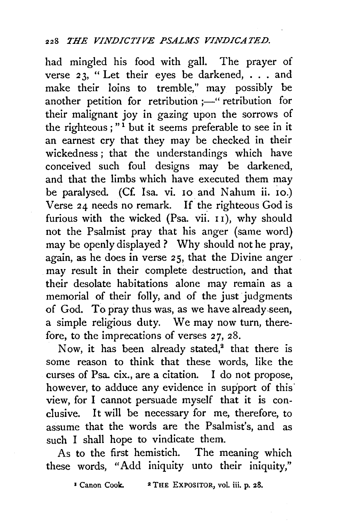had mingled his food with gall. The prayer of verse  $23$ , "Let their eyes be darkened, . . . and make their loins to tremble," may possibly be another petition for retribution  $;$ -" retribution for their malignant joy in gazing upon the sorrows of the righteous;"<sup>1</sup> but it seems preferable to see in it an earnest cry that they may be checked in their wickedness ; that the understandings which have conceived such foul designs may be darkened, and that the limbs which have executed them may be paralysed. (Cf. Isa. vi. 10 and Nahum ii. io.) Verse  $24$  needs no remark. If the righteous God is furious with the wicked (Psa. vii.  $11$ ), why should not the Psalmist pray that his anger (same word) may be openly displayed ? Why should not he pray, again, as he does in verse 25, that the Divine anger may result in their complete destruction, and that their desolate habitations alone may remain as a memorial of their folly, and of the just judgments of God. To pray thus was, as we have already.seen, a simple religious duty. We may now turn, therefore, to the imprecations of verses 27, 28.

Now, it has been already stated, $^2$  that there is some reason to think that these words, like the curses of Psa cix., are a citation. I do not propose, however, to adduce any evidence in support of this view, for I cannot persuade myself that it is conclusive. It will be necessary for me, therefore, to assume that the words are the Psalmist's, and as such I shall hope to vindicate them.

As to the first hemistich. The meaning which these words, "Add iniquity unto their iniquity,"

<sup>3</sup> Canon Cook. <sup>2</sup> THE EXPOSITOR, vol. iii. p. 28.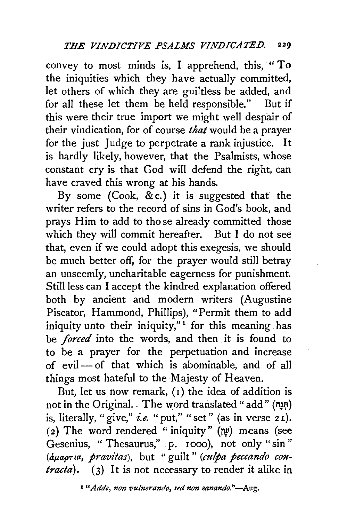convey to most minds is, I apprehend, this, "To the iniquities which they have actually committed, let others of which they are guiltless be added, and for all these let them be held responsible." But if this were their true import we might well despair of their vindication, for of course *that* would be a prayer for the just Judge to perpetrate a rank injustice. It is hardly likely, however, that the Psalmists, whose constant cry is that God will defend the right, can have craved this wrong at his hands.

By some (Cook, &c.) it is suggested that the writer refers to the record of sins in God's book, and prays Him to add to those already committed those which they will commit hereafter. But I do not see that, even if we could adopt this exegesis, we should be much better off, for the prayer would still betray an unseemly, uncharitable eagerness for punishment. Still less can I accept the kindred explanation offered both by ancient and modern writers (Augustine Piscator, Hammond, Phillips), "Permit them to add iniquity unto their iniquity," $\frac{1}{1}$  for this meaning has be *forced* into the words, and then it is found to to be a prayer for the perpetuation and increase of evil- of that which is abominable, and of all things most hateful to the Majesty of Heaven.

But, let us now remark,  $(i)$  the idea of addition is not in the Original. . The word translated " add" (תִּנָה) is, literally, "give," *i.e.* "put," "set" (as in verse 21). (2) The word rendered "iniquity"  $(\upmu)$  means (see Gesenius, " Thesaurus," p. 1000), not only "sin" (ap.apTLa, *pravitas),* but " guilt " *(culpa peccando contracta).* (3) It is not necessary to render it alike in

<sup>1</sup> "Adde, non vulnerando, sed non sanando."-Aug.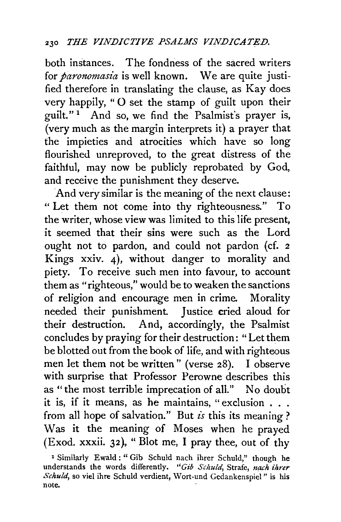both instances. The fondness of the sacred writers for *paronomasia* is well known. We are quite justified therefore in translating the clause, as Kay does very happily, "0 set the stamp of guilt upon their guilt." 1 And so, we find the Psalmist's prayer is, (very much as the margin interprets it) a prayer that the impieties and atrocities which have so long flourished unreproved, to the great distress of the faithful, may now be publicly reprobated by God, and receive the punishment they deserve.

And very similar is the meaning of the next clause: "Let them not come into thy righteousness." To the writer, whose view was limited to this life present, it seemed that their sins were such as the Lord ought not to pardon, and could not pardon (cf. <sup>2</sup> Kings xxiv. 4), without danger to morality and piety. To receive such men into favour, to account them as "righteous," would be to weaken the sanctions of religion and encourage men in crime. Morality needed their punishment. Justice cried aloud for their destruction. And, accordingly, the Psalmist concludes by praying for their destruction: "Let them be blotted out from the book of life, and with righteous men let them not be written" (verse 28). I observe with surprise that Professor Perowne describes this as "the most terrible imprecation of all." No doubt it is, if it means, as he maintains, "exclusion . . . from all hope of salvation." But *£s* this its meaning? Was it the meaning of Moses when he prayed (Exod. xxxii. 32 ), " Blot me, I pray thee, out of thy

<sup>&</sup>lt;sup>1</sup> Similarly Ewald : " Gib Schuld nach ihrer Schuld," though he understands the words differently. "Gib Schuld, Strafe, nach ihrer Schuld, so viel ihre Schuld verdient, Wort-und Gedankenspiel" is his note.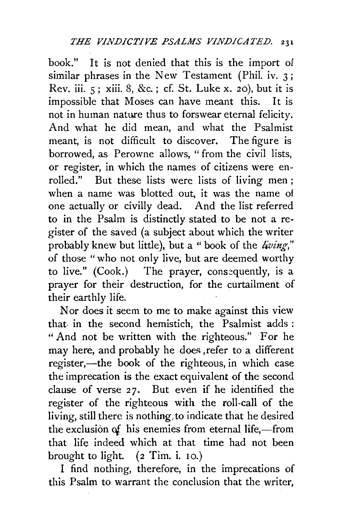book." It is not denied that this is the import of similar phrases in the New Testament (Phil. iv. 3; Rev. iii. 5; xiii. 8, &c. ; cf. St. Luke x. 20), but it is impossible that Moses can have meant this. It is not in human nature thus to forswear eternal felicity. And what he did mean, and what the Psalmist meant, is not difficult to discover. The figure is borrowed, as Perowne allows, " from the civil lists, or register, in which the names of citizens were en~ rolled." But these lists were lists of living men ; when a name was blotted out, it was the name of one actually or civilly dead. And the list referred to in the Psalm is distinctly stated to be not a register of the saved (a subject about which the writer probably knew but little), but a "book of the *living,"*  of those "who not only live, but are deemed worthy to live." (Cook.) The prayer, consequently, is a prayer for their destruction, for the curtailment of their earthly life.

Nor does it seem to me to make against this view that, in the second hemistich, the Psalmist adds : "And not be written with the righteous." For he may here, and probably he does ,refer to a different register,—the book of the righteous, in which case the imprecation is the exact equivalent of the second clause of verse 27. But even if he identified the register of the righteous with the roll-call of the living, still there is nothing, to indicate that he desired the exclusion of his enemies from eternal life,-from that life indeed which at that time had not been brought to light. (2 Tim. i. 10.)

I find nothing, therefore, in the imprecations of this Psalm to warrant the conclusion that the writer,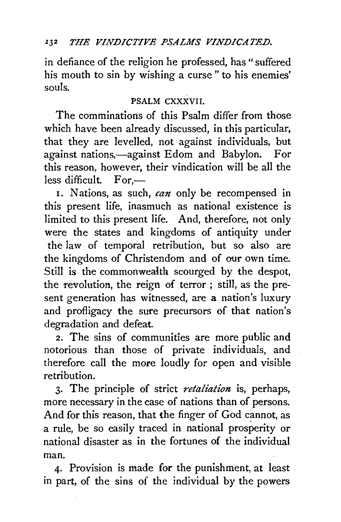# <sup>232</sup> THE VINDICTIVE PSALMS VINDICATED.

in defiance of the religion he professed, has "suffered his mouth to sin by wishing a curse " to his enemies' souls.

## PSALM CXXXVII.

The comminations of this Psalm differ from those which have been already discussed, in this particular, that they are levelled, not against individuals, but against nations,—against Edom and Babylon. For this reason, however, their vindication will be all the less difficult.  $For$ -

I. Nations, as such, *can* only be recompensed in this present life, inasmuch as national existence is limited to this present life. And, therefore, not only were the states and kingdoms of antiquity under the law of temporal retribution, but so also are the kingdoms of Christendom and of our own time. Still is the commonwealth scourged by the despot, the revolution, the reign of terror ; still, as the present generation has witnessed, are a nation's luxury and profligacy the sure precursors of that nation's degradation and defeat.

2. The sins of communities are more public and notorious than those of private individuals, and therefore call the more loudly for open and visible retribution.

3. The principle of strict *retaliation* is, perhaps, more necessary in the case of nations than of persons. And for this reason, that the finger of God cannot, as a rule, be so easily traced in national prosperity or national disaster as in the fortunes of the individual man.

4· Provision is made for the punishment, at least in part, of the sins of the individual by the powers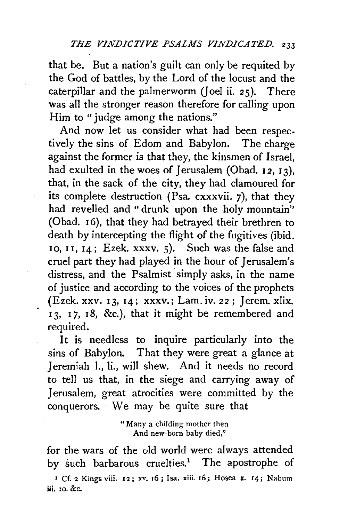that be. But a nation's guilt can only be requited by the God of battles, by the Lord of the locust and the caterpillar and the palmerworm *(]* oel ii. 25). There was all the stronger reason therefore for calling upon Him to "judge among the nations."

And now let us consider what had been respectively the sins of Edom and Babylon. The charge against the former is that they, the kinsmen of Israel, had exulted in the woes of Jerusalem (Obad.  $12, 13$ ), that, in the sack of the city, they had clamoured for its complete destruction (Psa.  $c$ xxxvii. 7), that they had revelled and " drunk upon the holy mountain'' (Obad. 16), that they had betrayed their brethren to death by intercepting the flight of the fugitives (ibid. 10, 11,  $14$ ; Ezek. xxxv. 5). Such was the false and cruel part they had played in the hour of Jerusalem's distress, and the Psalmist simply asks, in the name of justice and according to the voices of the prophets (Ezek. xxv. I3, I4; xxxv.; Lam.iv. 22; Jerem. xlix. I3, I *7,* I8, &c.), that it might be remembered and required.

It is needless to inquire particularly into the sins of Babylon. That they were great a glance at Jeremiah 1., li., will shew. And it needs no record to tell us that, in the siege and carrying away of Jerusalem, great atrocities were committed by the conquerors. We may be quite sure that

> "Many a childing mother then And new-born baby died,"

for the wars of the old world were always attended by such barbarous cruelties.<sup>1</sup> The apostrophe of

*•* Cf. 2 Kings viii. 12; xv. r6; I sa. xiii. 16; Hosea x. 14; Nahum iii. IO. &c.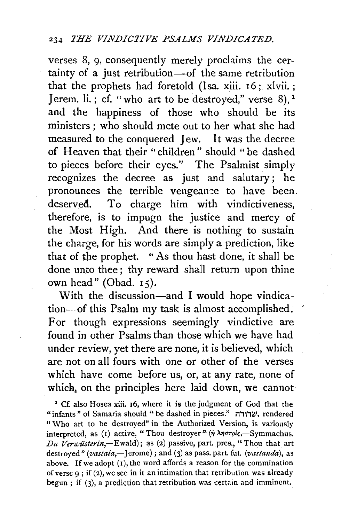verses 8, 9, consequently merely proclaims the certainty of a just retribution-of the same retribution that the prophets had foretold (Isa. xiii.  $16$ ; xlvii.; Jerem. li.; cf. "who art to be destroyed," verse  $8$ ),  $1$ and the happiness of those who should be its ministers; who should mete out to her what she had measured to the conquered Jew. It was the decree of Heaven that their "children" should "be dashed to pieces before their eyes." The Psalmist simply recognizes the decree as just and salutary; he pronounces the terrible vengeance to have been. deserved. To charge him with vindictiveness, therefore, is to impugn the justice and mercy of the Most High. And there is nothing to sustain the charge, for his words are simply a prediction, like that of the prophet. "As thou hast done, it shall be done unto thee; thy reward shall return upon thine own head" (Obad. 15).

With the discussion-and I would hope vindication-of this Psalm my task is almost accomplished. For though expressions seemingly vindictive are found in other Psalms than those which we have had under review, yet there are none, it is believed, which are not on all fours with one or other of the verses which have come before us, or, at any rate, none of which, on the principles here laid down, we cannot

1 Cf. also Hosea xiii. 16, where it is the judgment of God that the "infants" of Samaria should " be dashed in pieces." שרורה, rendered "Who art to be destroyed" in the Authorized Version, is variously interpreted, as (1) active, "Thou destroyer" ( $\eta \lambda \eta \sigma \tau \rho i \zeta$ , -Symmachus. *Du Verwüsterin*,-Ewald); as (2) passive, part. pres., "Thou that art destroyed" *(vastata,*-Jerome); and (3) as pass. part. fut. *(vastanda)*, as above. If we adopt  $(i)$ , the word affords a reason for the commination of verse 9 ; if (2), we see in it an intimation that retribution was already begun ; if (3), a prediction that retribution was certain and imminent.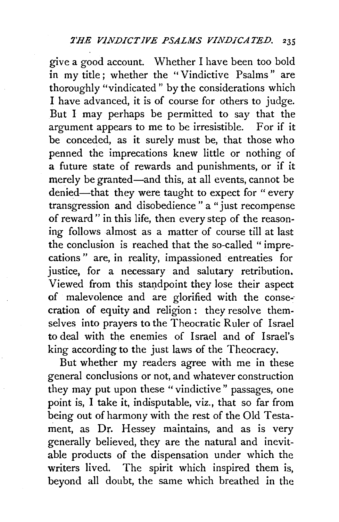give a good account. Whether I have been too bold in my title; whether the "Vindictive Psalms" are thoroughly "vindicated " by the considerations which I have advanced, it is of course for others to judge. But I may perhaps be permitted to say that the argument appears to me to be irresistible. For if it be conceded, as it surely must be, that those who penned the imprecations knew little or nothing of a future state of rewards and punishments, or if it merely be granted—and this, at all events, cannot be denied—that they were taught to expect for " every transgression and disobedience " a "just recompense of reward" in this life, then every step of the reasoning follows almost as a matter of course till at last the conclusion is reached that the so-called " imprecations" are, in reality, impassioned entreaties for justice, for a necessary and salutary retribution. Viewed from this standpoint they lose their aspect of malevolence and are glorified with the consecration of equity and religion: they resolve them· selves into prayers to the Theocratic Ruler of Israel to deal with the enemies of Israel and of Israel's king according to the just laws of the Theocracy.

But whether my readers agree with me in these general conclusions or not, and whatever construction they may put upon these "vindictive" passages, one point is, I take it, indisputable, viz., that so far from being out of harmony with the rest of the Old Testament, as Dr. Hessey maintains, and as is very generally believed, they are the natural and inevitable products of the dispensation under which the writers lived. The spirit which inspired them is, beyond all doubt, the same which breathed in the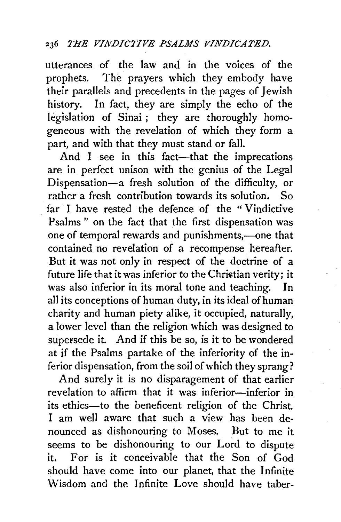utterances of the law and in the voices of the prophets. The prayers which they embody have their parallels and precedents in the pages of Jewish history. In fact, they are simply the echo of the legislation of Sinai; they are thoroughly homogeneous with the revelation of which they form a part, and with that they must stand or fall.

And I see in this fact-that the imprecations are in perfect unison with the genius of the Legal Dispensation--a fresh solution of the difficulty, or rather a fresh contribution towards its solution. So far I have rested the defence of the " Vindictive Psalms " on the fact that the first dispensation was one of temporal rewards and punishments,-one that contained no revelation of a recompense hereafter. But it was not only in respect of the doctrine of a future life that it was inferior to the Christian verity; it was also inferior in its moral tone and teaching. In all its conceptions of human duty, in its ideal ofhuman charity and human piety alike, it occupied, naturally, a lower level than the religion which was designed to supersede it. And if this be so, is it to be wondered at if the Psalms partake of the inferiority of the inferior dispensation, from the soil of which they sprang?

And surely it is no disparagement of that earlier revelation to affirm that it was inferior-inferior in its ethics--to the beneficent religion of the Christ. I am well aware that such a view has been denounced as dishonouring to Moses. But to me it seems to be dishonouring to our Lord to dispute it. For is it conceivable that the Son of God should have come into our planet, that the Infinite Wisdom and the Infinite Love should have taber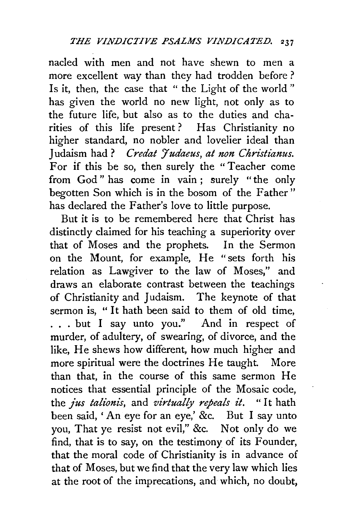nacled with men and not have shewn to men a more excellent way than they had trodden before ? Is it, then, the case that " the Light of the world " has given the world no new light, not only as to the future life, but also as to the duties and charities of this life present ? Has Christianity no higher standard, no nobler and lovelier ideal than J udaism had ? *C redat* Y *udaeus, at non Christianus.*  For if this be so, then surely the "Teacher come from God" has come in vain; surely "the only begotten Son which is in the bosom of the Father " has declared the Father's love to little purpose.

But it is to be remembered here that Christ has distinctly claimed for his teaching a superiority over that of Moses and the prophets. In the Sermon on the Mount, for example, He "sets forth his relation as Lawgiver to the law of Moses," and draws an elaborate contrast between the teachings of Christianity and Judaism. The keynote of that sermon is, " It hath been said to them of old time, . . . but I say unto you." And in respect of murder, of adultery, of swearing, of divorce, and the like, He shews how different, how much higher and more spiritual were the doctrines He taught. More than that, in the course of this same sermon He notices that essential principle of the Mosaic code, the *jus talionis,* and *virtually repeals it.* "It hath been said, ' An eye for an eye,' &c. But I say unto you, That ye resist not evil," &c. Not only do we find, that is to say, on the testimony of its Founder, that the moral code of Christianity is in advance of that of Moses, but we find that the very law which lies at the root of the imprecations, and which, no doubt,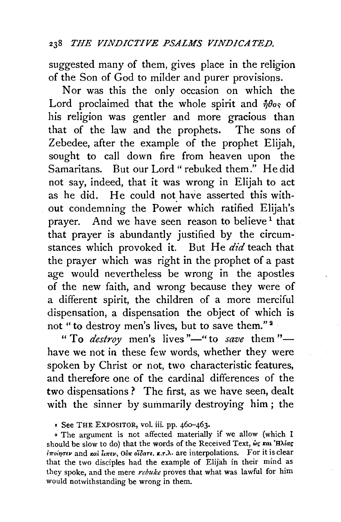suggested many of them, gives place in the religion of the Son of God to milder and purer provisions.

Nor was this the only occasion on which the Lord proclaimed that the whole spirit and  $\eta\theta_{0s}$  of his religion was gentler and more gracious than that of the law and the prophets. The sons of Zebedee, after the example of the prophet Elijah, sought to call down fire from heaven upon the Samaritans. But our Lord "rebuked them." He did not say, indeed, that it was wrong in Elijah to act as he did. He could not have asserted this without condemning the Power which ratified Elijah's prayer. And we have seen reason to believe<sup>1</sup> that that prayer is abundantly justified by the circumstances which provoked it. But He *did* teach that the prayer which was right in the prophet of a past age would nevertheless be wrong in the apostles of the new faith, and wrong because they were of a different spirit, the children of a more merciful dispensation, a dispensation the object of which is not "to destroy men's lives, but to save them."<sup>2</sup>

"To *destroy* men's lives"—" to *save* them" have we not in these few words, whether they were spoken by Christ or not, two characteristic features, and therefore one of the cardinal differences of the two dispensations ? The first, as we have seen, dealt with the sinner by summarily destroying him; the

• The argument is not affected materially if we allow (which I should be slow to do) that the words of the Received Text, we rai 'Hliag 17roiqf1'Ev and rcallur€11, Oinc *o'ioarE • .c.r.;\.* are interpolations. For it is clear that the two disciples had the example of Elijah in their mind as they spoke, and the mere *rebuke* proves that what was lawful for him would notwithstanding be wrong in them.

<sup>r</sup>See THE EXPOSITOR, vol. iii. pp. 46o-463.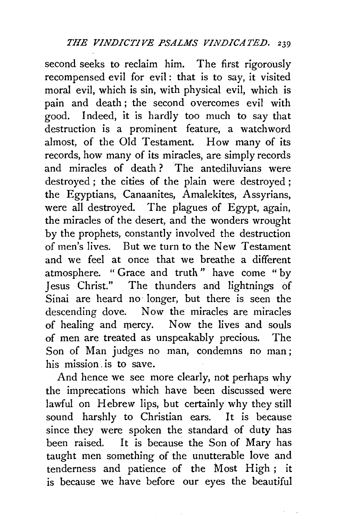second seeks to reclaim him. The first rigorously recompensed evil for evil: that is to say, it visited moral evil, which is sin, with physical evil, which is pain and death ; the second overcomes evil with good. Indeed, it is hardly too much to say that destruction is a prominent feature, a watchword almost, of the Old Testament. How many of its records, how many of its miracles, are simply records and miracles of death ? The antediluvians were destroyed ; the cities of the plain were destroyed ; the Egyptians, Canaanites, Amalekites, Assyrians, were all destroyed. The plagues of Egypt, again, the miracles of the desert, and the wonders wrought by the prophets, constantly involved the destruction of men's lives. But we turn to the New Testament and we feel at once that we breathe a different atmosphere. " Grace and truth " have come " by Jesus Christ." The thunders and lightnings of Sinai are heard no· longer, but there is seen the descending dove. Now the miracles are miracles of healing and mercy. Now the lives and souls of men are treated as unspeakably precious. The Son of Man judges no man, condemns no man; his mission is to save.

And hence we see more clearly, not perhaps why the imprecations which have been discussed were lawful on Hebrew lips, but certainly why they still sound harshly to Christian ears. It is because since they were spoken the standard of duty has been raised. It is because the Son of Mary has taught men something of the unutterable love and tenderness and patience of the Most High ; it is because we have before our eyes the beautiful